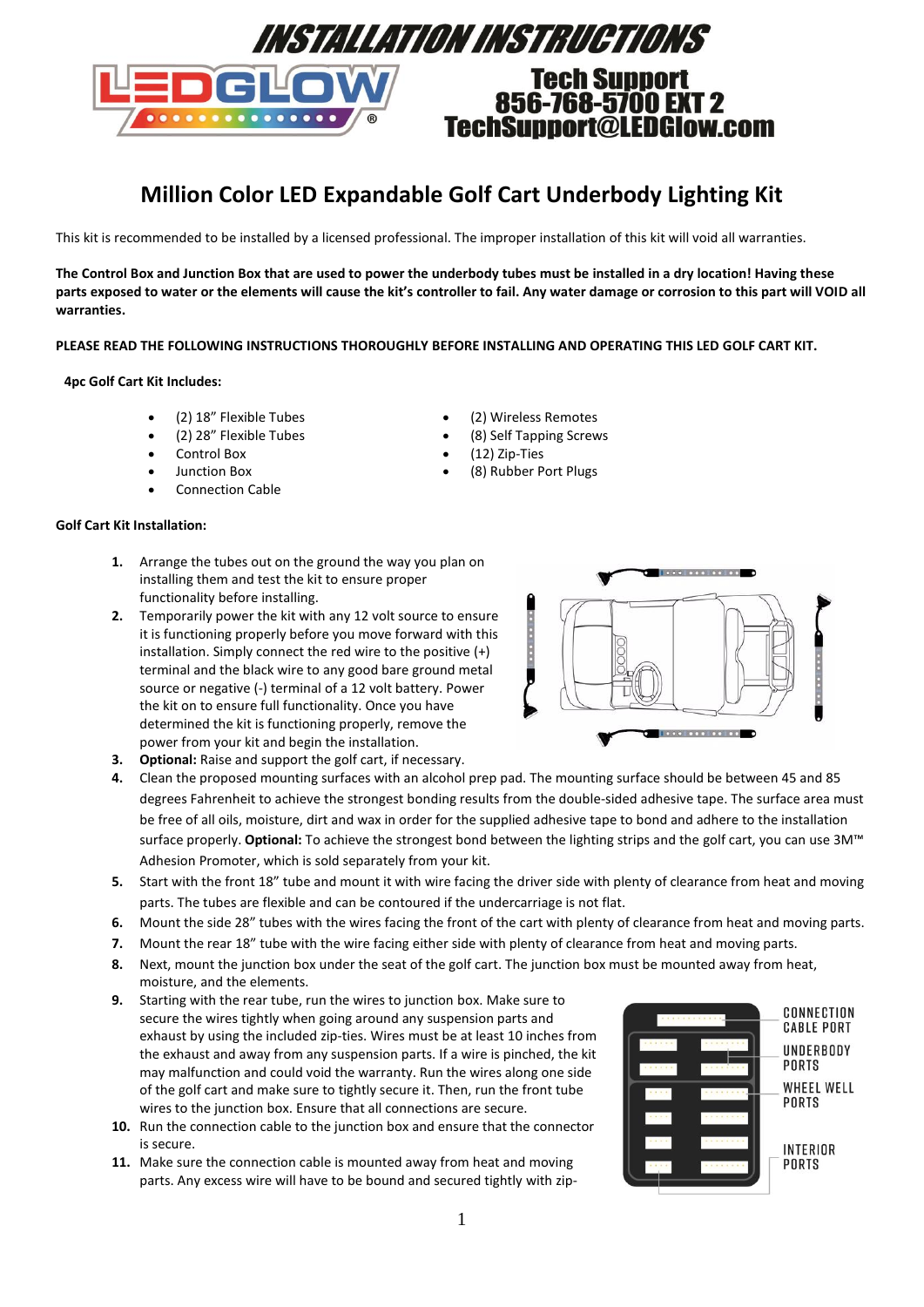

# **Million Color LED Expandable Golf Cart Underbody Lighting Kit**

This kit is recommended to be installed by a licensed professional. The improper installation of this kit will void all warranties.

**The Control Box and Junction Box that are used to power the underbody tubes must be installed in a dry location! Having these parts exposed to water or the elements will cause the kit's controller to fail. Any water damage or corrosion to this part will VOID all warranties.**

### **PLEASE READ THE FOLLOWING INSTRUCTIONS THOROUGHLY BEFORE INSTALLING AND OPERATING THIS LED GOLF CART KIT.**

### **4pc Golf Cart Kit Includes:**

- (2) 18" Flexible Tubes
- (2) 28" Flexible Tubes
- Control Box
- Junction Box
- Connection Cable

## **Golf Cart Kit Installation:**

- **1.** Arrange the tubes out on the ground the way you plan on installing them and test the kit to ensure proper functionality before installing.
- **2.** Temporarily power the kit with any 12 volt source to ensure it is functioning properly before you move forward with this installation. Simply connect the red wire to the positive (+) terminal and the black wire to any good bare ground metal source or negative (-) terminal of a 12 volt battery. Power the kit on to ensure full functionality. Once you have determined the kit is functioning properly, remove the power from your kit and begin the installation.
- (2) Wireless Remotes (8) Self Tapping Screws
- (12) Zip-Ties
- (8) Rubber Port Plugs



- **3. Optional:** Raise and support the golf cart, if necessary.
- **4.** Clean the proposed mounting surfaces with an alcohol prep pad. The mounting surface should be between 45 and 85 degrees Fahrenheit to achieve the strongest bonding results from the double-sided adhesive tape. The surface area must be free of all oils, moisture, dirt and wax in order for the supplied adhesive tape to bond and adhere to the installation surface properly. **Optional:** To achieve the strongest bond between the lighting strips and the golf cart, you can use 3M™ Adhesion Promoter, which is sold separately from your kit.
- **5.** Start with the front 18" tube and mount it with wire facing the driver side with plenty of clearance from heat and moving parts. The tubes are flexible and can be contoured if the undercarriage is not flat.
- **6.** Mount the side 28" tubes with the wires facing the front of the cart with plenty of clearance from heat and moving parts.
- **7.** Mount the rear 18" tube with the wire facing either side with plenty of clearance from heat and moving parts.
- **8.** Next, mount the junction box under the seat of the golf cart. The junction box must be mounted away from heat, moisture, and the elements.
- **9.** Starting with the rear tube, run the wires to junction box. Make sure to secure the wires tightly when going around any suspension parts and exhaust by using the included zip-ties. Wires must be at least 10 inches from the exhaust and away from any suspension parts. If a wire is pinched, the kit may malfunction and could void the warranty. Run the wires along one side of the golf cart and make sure to tightly secure it. Then, run the front tube wires to the junction box. Ensure that all connections are secure.
- **10.** Run the connection cable to the junction box and ensure that the connector is secure.
- **11.** Make sure the connection cable is mounted away from heat and moving parts. Any excess wire will have to be bound and secured tightly with zip-

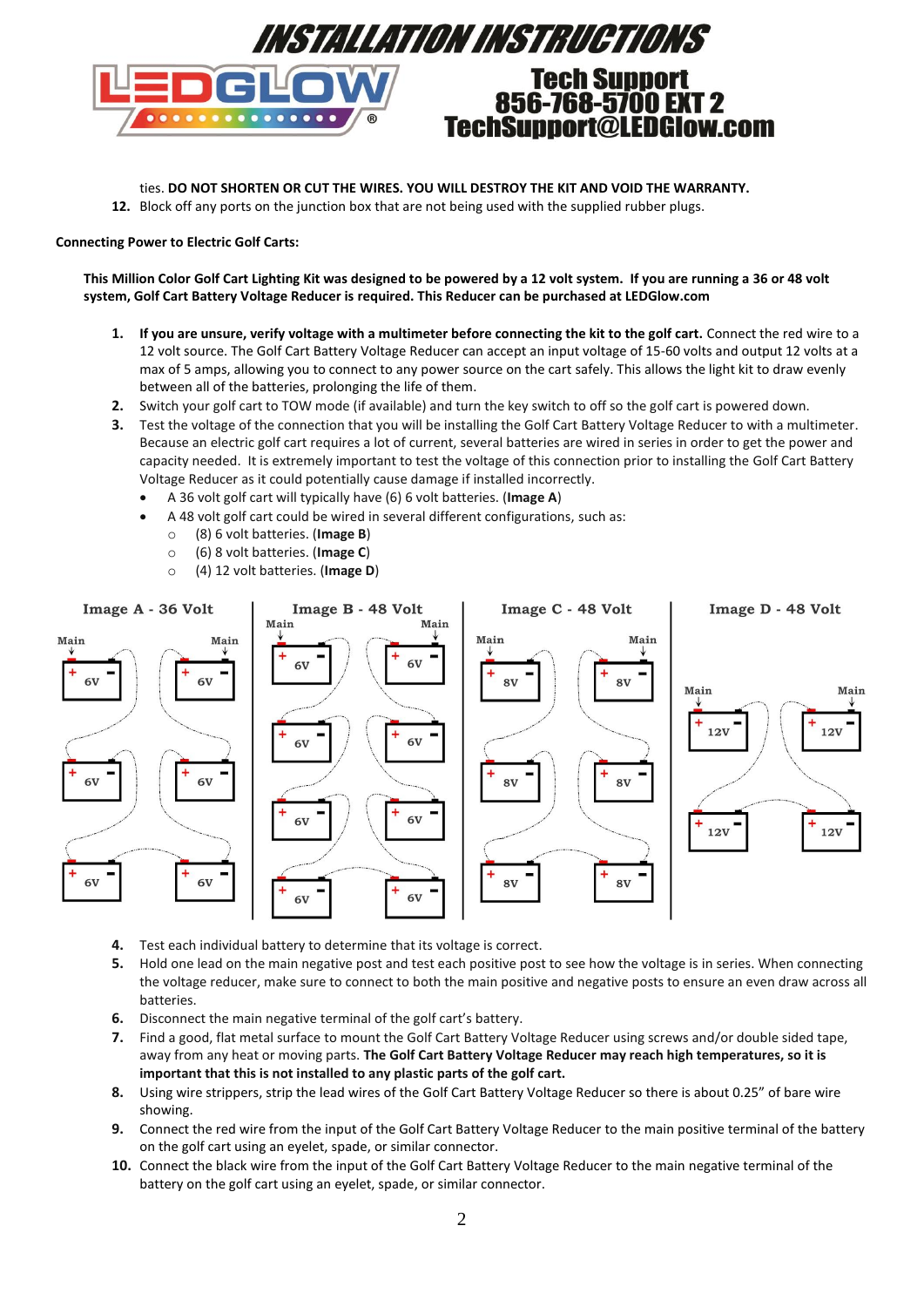

ties. **DO NOT SHORTEN OR CUT THE WIRES. YOU WILL DESTROY THE KIT AND VOID THE WARRANTY.**

**12.** Block off any ports on the junction box that are not being used with the supplied rubber plugs.

## **Connecting Power to Electric Golf Carts:**

**This Million Color Golf Cart Lighting Kit was designed to be powered by a 12 volt system. If you are running a 36 or 48 volt system, Golf Cart Battery Voltage Reducer is required. This Reducer can be purchased at LEDGlow.com**

- **1. If you are unsure, verify voltage with a multimeter before connecting the kit to the golf cart.** Connect the red wire to a 12 volt source. The Golf Cart Battery Voltage Reducer can accept an input voltage of 15-60 volts and output 12 volts at a max of 5 amps, allowing you to connect to any power source on the cart safely. This allows the light kit to draw evenly between all of the batteries, prolonging the life of them.
- **2.** Switch your golf cart to TOW mode (if available) and turn the key switch to off so the golf cart is powered down.
- **3.** Test the voltage of the connection that you will be installing the Golf Cart Battery Voltage Reducer to with a multimeter. Because an electric golf cart requires a lot of current, several batteries are wired in series in order to get the power and capacity needed. It is extremely important to test the voltage of this connection prior to installing the Golf Cart Battery Voltage Reducer as it could potentially cause damage if installed incorrectly.
	- A 36 volt golf cart will typically have (6) 6 volt batteries. (**Image A**)
	- A 48 volt golf cart could be wired in several different configurations, such as:
		- o (8) 6 volt batteries. (**Image B**)
		- o (6) 8 volt batteries. (**Image C**)
		- o (4) 12 volt batteries. (**Image D**)



- **4.** Test each individual battery to determine that its voltage is correct.
- **5.** Hold one lead on the main negative post and test each positive post to see how the voltage is in series. When connecting the voltage reducer, make sure to connect to both the main positive and negative posts to ensure an even draw across all **batteries**
- **6.** Disconnect the main negative terminal of the golf cart's battery.
- **7.** Find a good, flat metal surface to mount the Golf Cart Battery Voltage Reducer using screws and/or double sided tape, away from any heat or moving parts. **The Golf Cart Battery Voltage Reducer may reach high temperatures, so it is important that this is not installed to any plastic parts of the golf cart.**
- **8.** Using wire strippers, strip the lead wires of the Golf Cart Battery Voltage Reducer so there is about 0.25" of bare wire showing.
- **9.** Connect the red wire from the input of the Golf Cart Battery Voltage Reducer to the main positive terminal of the battery on the golf cart using an eyelet, spade, or similar connector.
- **10.** Connect the black wire from the input of the Golf Cart Battery Voltage Reducer to the main negative terminal of the battery on the golf cart using an eyelet, spade, or similar connector.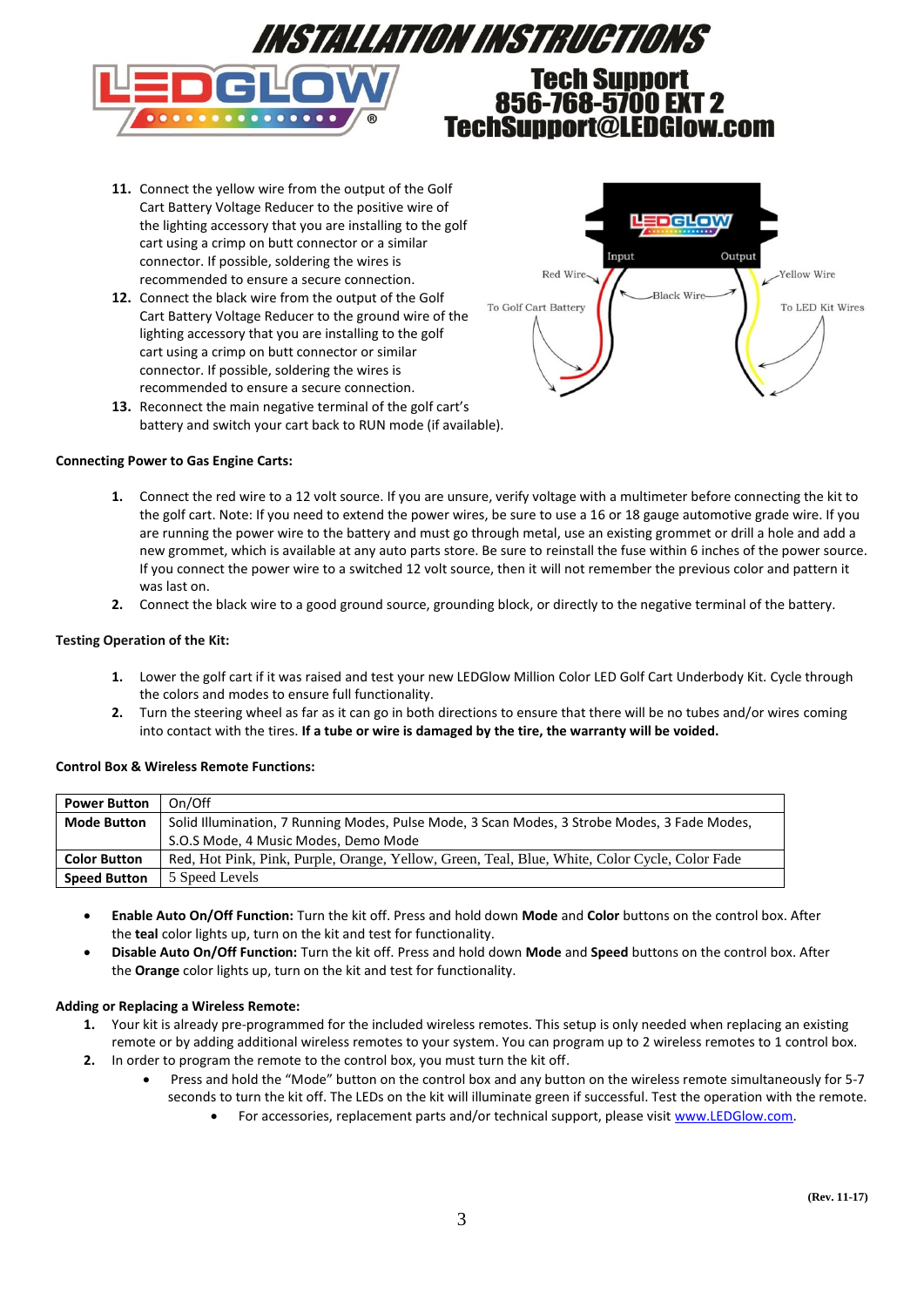

- **11.** Connect the yellow wire from the output of the Golf Cart Battery Voltage Reducer to the positive wire of the lighting accessory that you are installing to the golf cart using a crimp on butt connector or a similar connector. If possible, soldering the wires is recommended to ensure a secure connection.
- **12.** Connect the black wire from the output of the Golf Cart Battery Voltage Reducer to the ground wire of the lighting accessory that you are installing to the golf cart using a crimp on butt connector or similar connector. If possible, soldering the wires is recommended to ensure a secure connection.



**13.** Reconnect the main negative terminal of the golf cart's battery and switch your cart back to RUN mode (if available).

### **Connecting Power to Gas Engine Carts:**

- **1.** Connect the red wire to a 12 volt source. If you are unsure, verify voltage with a multimeter before connecting the kit to the golf cart. Note: If you need to extend the power wires, be sure to use a 16 or 18 gauge automotive grade wire. If you are running the power wire to the battery and must go through metal, use an existing grommet or drill a hole and add a new grommet, which is available at any auto parts store. Be sure to reinstall the fuse within 6 inches of the power source. If you connect the power wire to a switched 12 volt source, then it will not remember the previous color and pattern it was last on.
- **2.** Connect the black wire to a good ground source, grounding block, or directly to the negative terminal of the battery.

### **Testing Operation of the Kit:**

- **1.** Lower the golf cart if it was raised and test your new LEDGlow Million Color LED Golf Cart Underbody Kit. Cycle through the colors and modes to ensure full functionality.
- **2.** Turn the steering wheel as far as it can go in both directions to ensure that there will be no tubes and/or wires coming into contact with the tires. **If a tube or wire is damaged by the tire, the warranty will be voided.**

### **Control Box & Wireless Remote Functions:**

| <b>Power Button</b> | On/Off                                                                                         |
|---------------------|------------------------------------------------------------------------------------------------|
| <b>Mode Button</b>  | Solid Illumination, 7 Running Modes, Pulse Mode, 3 Scan Modes, 3 Strobe Modes, 3 Fade Modes,   |
|                     | S.O.S Mode, 4 Music Modes, Demo Mode                                                           |
| <b>Color Button</b> | Red, Hot Pink, Pink, Purple, Orange, Yellow, Green, Teal, Blue, White, Color Cycle, Color Fade |
| <b>Speed Button</b> | 5 Speed Levels                                                                                 |

- **Enable Auto On/Off Function:** Turn the kit off. Press and hold down **Mode** and **Color** buttons on the control box. After the **teal** color lights up, turn on the kit and test for functionality.
- **Disable Auto On/Off Function:** Turn the kit off. Press and hold down **Mode** and **Speed** buttons on the control box. After the **Orange** color lights up, turn on the kit and test for functionality.

### **Adding or Replacing a Wireless Remote:**

- **1.** Your kit is already pre-programmed for the included wireless remotes. This setup is only needed when replacing an existing remote or by adding additional wireless remotes to your system. You can program up to 2 wireless remotes to 1 control box. **2.** In order to program the remote to the control box, you must turn the kit off.
	- Press and hold the "Mode" button on the control box and any button on the wireless remote simultaneously for 5-7
		- seconds to turn the kit off. The LEDs on the kit will illuminate green if successful. Test the operation with the remote.
			- For accessories, replacement parts and/or technical support, please visit [www.LEDGlow.com.](http://www.ledglow.com/)